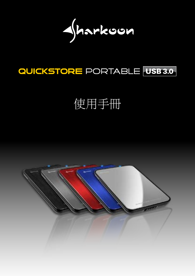$\sqrt{h}$ arkoon

## QUICKSTORE PORTABLE USB 3.0

# 使用手冊

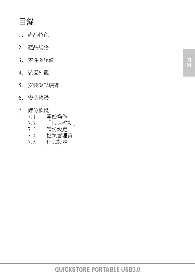## 目錄

- 1. 產品特色
- 2. 產品規格
- 3. 零件與配備
- 4. 裝置外觀
- 5. 安裝SATA硬碟
- 6. 安裝軟體

#### 7. 備份軟體

- 7.1. 開始操作
- 7.2. 「快速啟動」
- 7.3. 備份設定
- 7.4. 檔案管理員
	- 7.5. 程式設定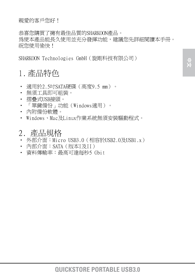恭喜您購買了擁有最佳品質的SHARKOON產品。 為使本產品能長久使用並充分發揮功能,建議您先詳細閱讀本手冊。 祝您使用愉快!

SHARKOON Technologies GmbH(旋剛科技有限公司)

## 1. 產品特色

- 適用於2.5吋SATA硬碟(高度9.5 mm)。
- 無須工具即可組裝。
- 摺疊式USB接頭。
- 「單鍵備份」功能(Windows適用)。
- 內附備份軟體。
- Windows、Mac及Linux作業系統無須安裝驅動程式。

#### 2. 產品規格

- 外部介面:Micro USB3.0(相容於USB2.0及USB1.x)
- 內部介面:SATA(版本I及II)
- 資料傳輸率:最高可達每秒5 Gbit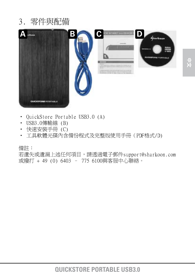## 3. 零件與配備



- QuickStore Portable USB3.0 (A)
- USB3.0傳輸線 (B)
- 快速安裝手冊 (C)
- 工具軟體光碟內含備份程式及完整版使用手冊(PDF格式/D)

備註:

若遺失或遺漏上述任何項目,請透過電子郵件support@sharkoon.com 或撥打 + 49 (0) 6403 – 775 6100與客服中心聯絡。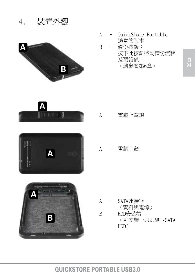

A - OuickStore Portable 適當的版本

B – 備份按鈕: 按下此按鈕啟動備份流程 及預設值 (請參閱第6章)



**A**



- A 電腦上蓋鎖
	- A 雷腦上蓋

- A SATA連接器 (資料與電源) B - HDD安裝槽
	- (可安裝一只2.5吋-SATA HDD)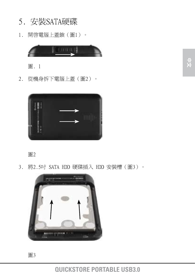- 5. 安裝SATA硬碟
- 1. 開啓電腦上蓋銷(圖1)。



 圖. 1

2. 從機身拆下電腦上蓋(圖2)。





3. 將2.5吋 SATA HDD 硬碟插入 HDD 安裝槽(圖3)。

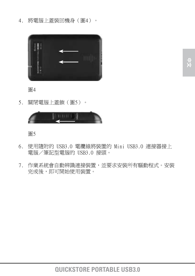4. 將電腦上蓋裝回機身(圖4)。



 圖4

5. 關閉電腦上蓋鎖(圖5)。



圖5

- 6. 使用隨附的 USB3.0 電纜線將裝置的 Mini USB3.0 連接器接上 電腦/筆記型電腦的 USB3.0 接頭。
- 7. 作業系統會自動辨識連接裝置,並要求安裝所有驅動程式。安裝 完成後,即可開始使用裝置。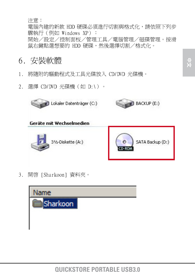注意:

 電腦內建的新款 HDD 硬碟必須進行切割與格式化,請依照下列步 驟執行(例如 Windows XP): 開始/設定/控制面板/管理工具/電腦管理/磁碟管理。按滑 鼠右鍵點選想要的 HDD 硬碟,然後選擇切割/格式化。

- 6. 安裝軟體
- 1. 將隨附的驅動程式及工具光碟放入 CD/DVD 光碟機。
- 2. 選擇 CD/DVD 光碟機(如 D:\)。

Lokaler Datenträger (C:)

316-Diskette (A:)

Geräte mit Wechselmedien









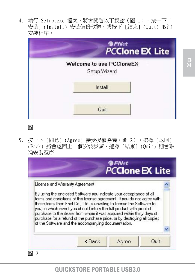4. 執行 Setup.exe 檔案,將會開啓以下視窗(圖 1)。按一下 [ 安裝] (Install) 安裝備份軟體,或按下 [結束] (Quit) 取消 安裝程序。



#### 圖 1

5. 按一下 [同意] (Agree) 接受授權協議(圖 2)。選擇 [返回] (Back) 將會返回上一個安裝步驟,選擇 [結束] (Quit) 則會取 消安裝程序。



#### **QUICKSTORE PORTABLE USB3.0**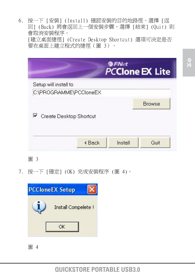6. 按一下 [安裝] (Install) 確認安裝的目的地路徑。選擇 [返 回] (Back) 將會返回上一個安裝步驟,選擇 [結束] (Quit) 則 會取消安裝程序。 [建立桌面捷徑] (Create Desktop Shortcut) 選項可決定是否 要在桌面上建立程式的捷徑(圖 3)。

|                           | <b>@FNet</b> | <b>PCClone EX Lite</b> |
|---------------------------|--------------|------------------------|
| Setup will install to     |              |                        |
| C:\PROGRAMME\PCCloneEX    |              |                        |
| └ Create Desktop Shortcut |              | <b>Browse</b>          |
| < Back                    | Install      | Quit                   |

圖 3

7. 按一下 [確定] (OK) 完成安裝程序 (圖 4)。



 圖 4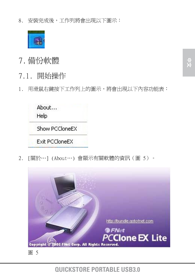8. 安裝完成後,工作列將會出現以下圖示:



- 7. 備份軟體
- 7.1. 開始操作
- 1. 用滑鼠右鍵按下工作列上的圖示,將會出現以下內容功能表:



2. [關於…] (About…) 會顯示有關軟體的資訊(圖 5)。



**QUICKSTORE PORTABLE USB3.0**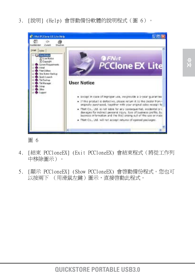3. [說明] (Help) 會啟動備份軟體的說明程式(圖 6)。



 圖 6

- 4. [結束 PCCloneEX] (Exit PCCloneEX) 會結束程式(將從工作列 中移除圖示)。
- 5. [顯示 PCCloneEX] (Show PCCloneEX) 會啟動備份程式。您也可 以按兩下 (用滑鼠左鍵)圖示,直接啓動此程式。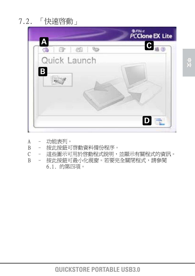7.2. 「快速啟動」



 A – 功能表列。 B – 按此按鈕可啟動資料備份程序。 C – 這些圖示可用於啟動程式說明,並顯示有關程式的資訊。 B - 按此按鈕可最小化視窗。若要完全關閉程式,請參閱 6.1. 的第四項。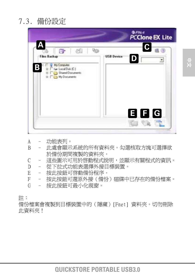| A                                                                   | <b>PCClone EX Lite</b>                            |
|---------------------------------------------------------------------|---------------------------------------------------|
| F.<br><b>Files Backup</b><br>My Computer<br>Β<br>Ge Local Disk (C.) | $\overline{\mathbf{c}}$<br><b>USB Device</b><br>D |
| Shared Documents<br>My Documents                                    |                                                   |
|                                                                     |                                                   |
|                                                                     | 目日日<br><b>THE CONTROL</b>                         |

- A – 功能表列。
- B 此處會顯示系統的所有資料夾。勾選核取方塊可選擇欲 於備份期間複製的資料夾。
- C 這些圖示可用於啟動程式說明,並顯示有關程式的資訊。
- D 從下拉式功能表選擇外接目標裝置。
- E 按此按鈕可啓動備份程序。
- F – 按此按鈕可還原外接(備份)磁碟中已存在的備份檔案。
- G 按此按鈕可最小化視窗。

註:

備份檔案會複製到目標裝置中的(隱藏)[Fnet] 資料夾。切勿刪除 此資料夾!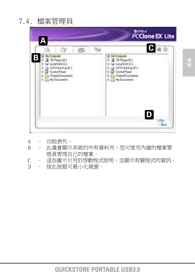

- A 功能表列。
- B 此處會顯示系統的所有資料夾,您可使用內建的檔案管 理員管理自己的檔案。
- C 這些圖示可用於啟動程式說明,並顯示有關程式的資訊。
- D 按此按鈕可最小化視窗。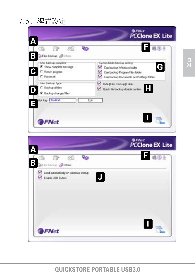

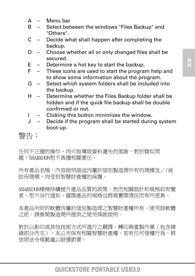- A Menu bar
- B Select between the windows "Files Backup" and "Others".
- C Decide what shall happen after completing the backup.
- D Choose whether all or only changed files shall be secured.
- E Determine a hot key to start the backup.
- $F =$  These icons are used to start the program help and to show some information about the program.
- G Select which system folders shall be included into the backup.
- H Determine whether the Files Backup folder shall be hidden and if the quick file backup shall be double confirmed or not.
- I Clicking this button minimizes the window.
- J Decide if the program shall be started during system boot-up.

#### 警告:

任何不正確的操作,均可能導致資料潰失的風險,對於類似問 題,SHARKOON恕不負擔相關責任。

所有產品名稱、內容說明描述均屬於個別製造商所有的商標及//或 註冊商標,均受到智慧財產權的保護。

SHARKOON標榜持續提升產品品質的政策,然而相關設計和規格如有變 更,恕不另行通知。國際產品的規格也將視實際情況而有所差異。

本產品所附的軟體均屬於個別製造商之智慧財產權所有。使用該軟體 之前,請參閱製造商所提供之使用條款說明。

對於以影印或其他技術方式所進行之翻譯、轉印與重製作業(包含摘 錄部分內文),本公司保有相關智慧財產權。若有任何侵權行為,將 依照法令規範處以賠償罰責。